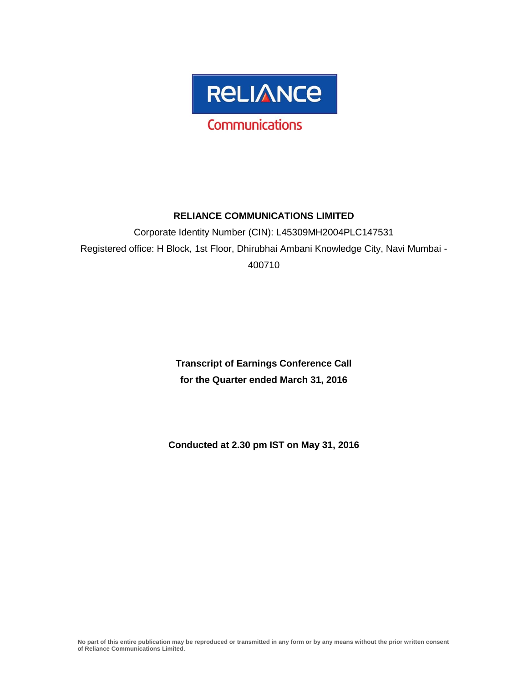

# **RELIANCE COMMUNICATIONS LIMITED**

Corporate Identity Number (CIN): L45309MH2004PLC147531 Registered office: H Block, 1st Floor, Dhirubhai Ambani Knowledge City, Navi Mumbai - 400710

> **Transcript of Earnings Conference Call for the Quarter ended March 31, 2016**

**Conducted at 2.30 pm IST on May 31, 2016**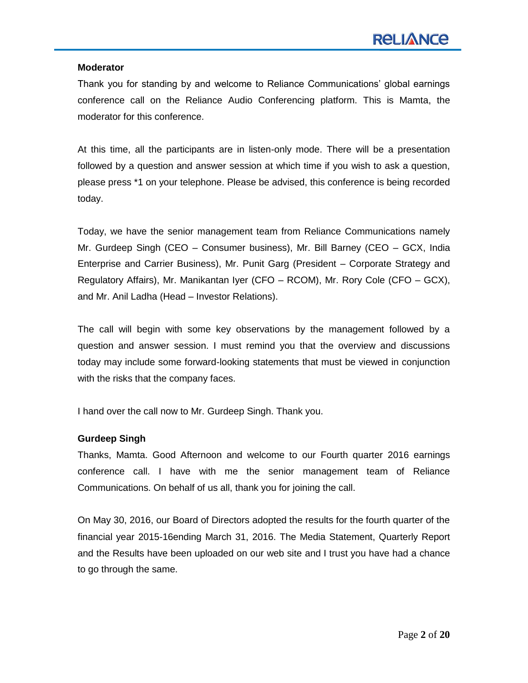#### **Moderator**

Thank you for standing by and welcome to Reliance Communications" global earnings conference call on the Reliance Audio Conferencing platform. This is Mamta, the moderator for this conference.

At this time, all the participants are in listen-only mode. There will be a presentation followed by a question and answer session at which time if you wish to ask a question, please press \*1 on your telephone. Please be advised, this conference is being recorded today.

Today, we have the senior management team from Reliance Communications namely Mr. Gurdeep Singh (CEO – Consumer business), Mr. Bill Barney (CEO – GCX, India Enterprise and Carrier Business), Mr. Punit Garg (President – Corporate Strategy and Regulatory Affairs), Mr. Manikantan Iyer (CFO – RCOM), Mr. Rory Cole (CFO – GCX), and Mr. Anil Ladha (Head – Investor Relations).

The call will begin with some key observations by the management followed by a question and answer session. I must remind you that the overview and discussions today may include some forward-looking statements that must be viewed in conjunction with the risks that the company faces.

I hand over the call now to Mr. Gurdeep Singh. Thank you.

# **Gurdeep Singh**

Thanks, Mamta. Good Afternoon and welcome to our Fourth quarter 2016 earnings conference call. I have with me the senior management team of Reliance Communications. On behalf of us all, thank you for joining the call.

On May 30, 2016, our Board of Directors adopted the results for the fourth quarter of the financial year 2015-16ending March 31, 2016. The Media Statement, Quarterly Report and the Results have been uploaded on our web site and I trust you have had a chance to go through the same.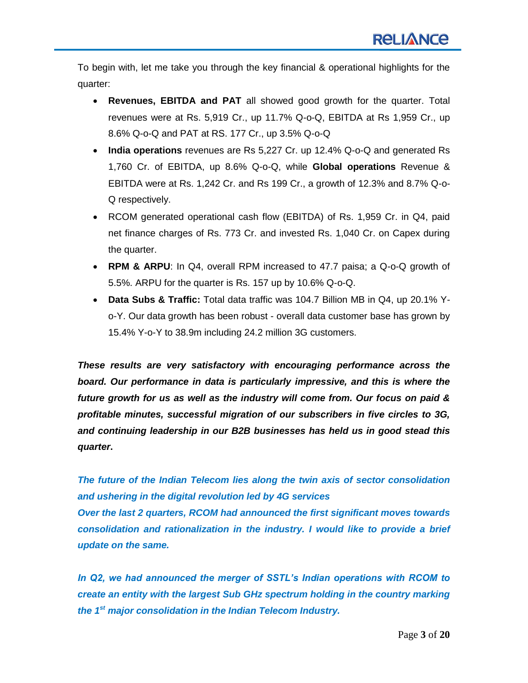To begin with, let me take you through the key financial & operational highlights for the quarter:

- **Revenues, EBITDA and PAT** all showed good growth for the quarter. Total revenues were at Rs. 5,919 Cr., up 11.7% Q-o-Q, EBITDA at Rs 1,959 Cr., up 8.6% Q-o-Q and PAT at RS. 177 Cr., up 3.5% Q-o-Q
- **India operations** revenues are Rs 5,227 Cr. up 12.4% Q-o-Q and generated Rs 1,760 Cr. of EBITDA, up 8.6% Q-o-Q, while **Global operations** Revenue & EBITDA were at Rs. 1,242 Cr. and Rs 199 Cr., a growth of 12.3% and 8.7% Q-o-Q respectively.
- RCOM generated operational cash flow (EBITDA) of Rs. 1,959 Cr. in Q4, paid net finance charges of Rs. 773 Cr. and invested Rs. 1,040 Cr. on Capex during the quarter.
- **RPM & ARPU**: In Q4, overall RPM increased to 47.7 paisa; a Q-o-Q growth of 5.5%. ARPU for the quarter is Rs. 157 up by 10.6% Q-o-Q.
- **Data Subs & Traffic:** Total data traffic was 104.7 Billion MB in Q4, up 20.1% Yo-Y. Our data growth has been robust - overall data customer base has grown by 15.4% Y-o-Y to 38.9m including 24.2 million 3G customers.

*These results are very satisfactory with encouraging performance across the board. Our performance in data is particularly impressive, and this is where the future growth for us as well as the industry will come from. Our focus on paid & profitable minutes, successful migration of our subscribers in five circles to 3G, and continuing leadership in our B2B businesses has held us in good stead this quarter***.**

*The future of the Indian Telecom lies along the twin axis of sector consolidation and ushering in the digital revolution led by 4G services Over the last 2 quarters, RCOM had announced the first significant moves towards consolidation and rationalization in the industry. I would like to provide a brief update on the same.*

*In Q2, we had announced the merger of SSTL's Indian operations with RCOM to create an entity with the largest Sub GHz spectrum holding in the country marking the 1st major consolidation in the Indian Telecom Industry.*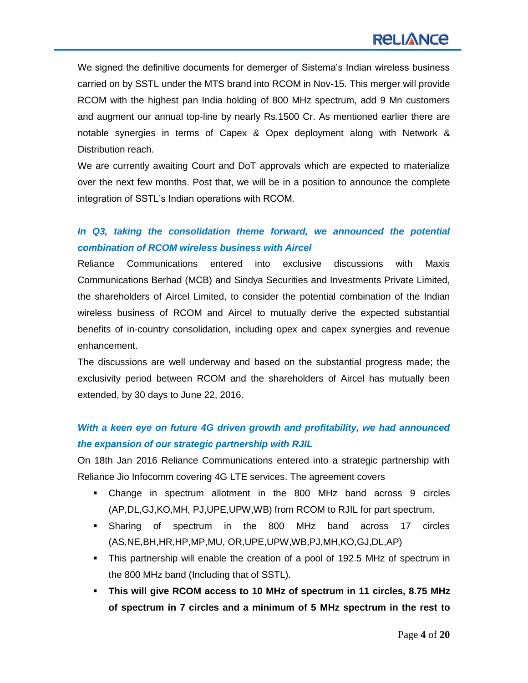We signed the definitive documents for demerger of Sistema's Indian wireless business carried on by SSTL under the MTS brand into RCOM in Nov-15. This merger will provide RCOM with the highest pan India holding of 800 MHz spectrum, add 9 Mn customers and augment our annual top-line by nearly Rs.1500 Cr. As mentioned earlier there are notable synergies in terms of Capex & Opex deployment along with Network & Distribution reach.

We are currently awaiting Court and DoT approvals which are expected to materialize over the next few months. Post that, we will be in a position to announce the complete integration of SSTL"s Indian operations with RCOM.

# In Q3, taking the consolidation theme forward, we announced the potential *combination of RCOM wireless business with Aircel*

Reliance Communications entered into exclusive discussions with Maxis Communications Berhad (MCB) and Sindya Securities and Investments Private Limited, the shareholders of Aircel Limited, to consider the potential combination of the Indian wireless business of RCOM and Aircel to mutually derive the expected substantial benefits of in-country consolidation, including opex and capex synergies and revenue enhancement.

The discussions are well underway and based on the substantial progress made; the exclusivity period between RCOM and the shareholders of Aircel has mutually been extended, by 30 days to June 22, 2016.

# *With a keen eye on future 4G driven growth and profitability, we had announced the expansion of our strategic partnership with RJIL*

On 18th Jan 2016 Reliance Communications entered into a strategic partnership with Reliance Jio Infocomm covering 4G LTE services. The agreement covers

- Change in spectrum allotment in the 800 MHz band across 9 circles (AP,DL,GJ,KO,MH, PJ,UPE,UPW,WB) from RCOM to RJIL for part spectrum.
- Sharing of spectrum in the 800 MHz band across 17 circles (AS,NE,BH,HR,HP,MP,MU, OR,UPE,UPW,WB,PJ,MH,KO,GJ,DL,AP)
- This partnership will enable the creation of a pool of 192.5 MHz of spectrum in the 800 MHz band (Including that of SSTL).
- **This will give RCOM access to 10 MHz of spectrum in 11 circles, 8.75 MHz of spectrum in 7 circles and a minimum of 5 MHz spectrum in the rest to**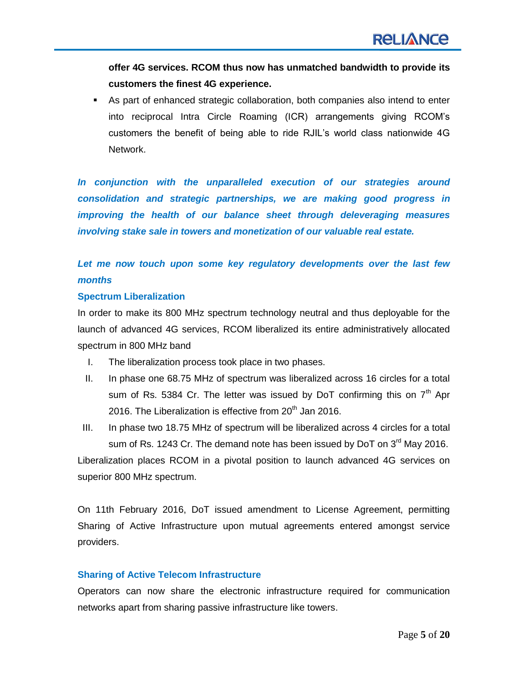**offer 4G services. RCOM thus now has unmatched bandwidth to provide its customers the finest 4G experience.**

 As part of enhanced strategic collaboration, both companies also intend to enter into reciprocal Intra Circle Roaming (ICR) arrangements giving RCOM"s customers the benefit of being able to ride RJIL"s world class nationwide 4G Network.

*In conjunction with the unparalleled execution of our strategies around consolidation and strategic partnerships, we are making good progress in improving the health of our balance sheet through deleveraging measures involving stake sale in towers and monetization of our valuable real estate.*

# Let me now touch upon some key regulatory developments over the last few *months*

## **Spectrum Liberalization**

In order to make its 800 MHz spectrum technology neutral and thus deployable for the launch of advanced 4G services, RCOM liberalized its entire administratively allocated spectrum in 800 MHz band

- I. The liberalization process took place in two phases.
- II. In phase one 68.75 MHz of spectrum was liberalized across 16 circles for a total sum of Rs. 5384 Cr. The letter was issued by DoT confirming this on  $7<sup>th</sup>$  Apr 2016. The Liberalization is effective from  $20<sup>th</sup>$  Jan 2016.

III. In phase two 18.75 MHz of spectrum will be liberalized across 4 circles for a total sum of Rs. 1243 Cr. The demand note has been issued by DoT on 3<sup>rd</sup> May 2016. Liberalization places RCOM in a pivotal position to launch advanced 4G services on superior 800 MHz spectrum.

On 11th February 2016, DoT issued amendment to License Agreement, permitting Sharing of Active Infrastructure upon mutual agreements entered amongst service providers.

#### **Sharing of Active Telecom Infrastructure**

Operators can now share the electronic infrastructure required for communication networks apart from sharing passive infrastructure like towers.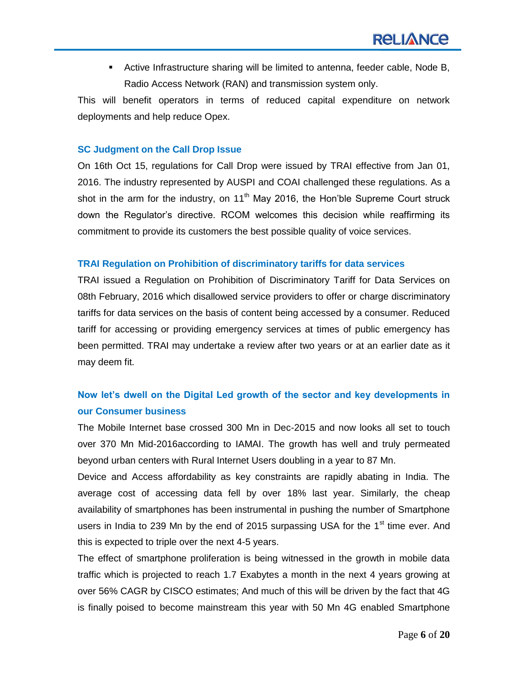Active Infrastructure sharing will be limited to antenna, feeder cable, Node B, Radio Access Network (RAN) and transmission system only.

This will benefit operators in terms of reduced capital expenditure on network deployments and help reduce Opex.

## **SC Judgment on the Call Drop Issue**

On 16th Oct 15, regulations for Call Drop were issued by TRAI effective from Jan 01, 2016. The industry represented by AUSPI and COAI challenged these regulations. As a shot in the arm for the industry, on  $11<sup>th</sup>$  May 2016, the Hon'ble Supreme Court struck down the Regulator"s directive. RCOM welcomes this decision while reaffirming its commitment to provide its customers the best possible quality of voice services.

## **TRAI Regulation on Prohibition of discriminatory tariffs for data services**

TRAI issued a Regulation on Prohibition of Discriminatory Tariff for Data Services on 08th February, 2016 which disallowed service providers to offer or charge discriminatory tariffs for data services on the basis of content being accessed by a consumer. Reduced tariff for accessing or providing emergency services at times of public emergency has been permitted. TRAI may undertake a review after two years or at an earlier date as it may deem fit.

# **Now let's dwell on the Digital Led growth of the sector and key developments in our Consumer business**

The Mobile Internet base crossed 300 Mn in Dec-2015 and now looks all set to touch over 370 Mn Mid-2016according to IAMAI. The growth has well and truly permeated beyond urban centers with Rural Internet Users doubling in a year to 87 Mn.

Device and Access affordability as key constraints are rapidly abating in India. The average cost of accessing data fell by over 18% last year. Similarly, the cheap availability of smartphones has been instrumental in pushing the number of Smartphone users in India to 239 Mn by the end of 2015 surpassing USA for the  $1<sup>st</sup>$  time ever. And this is expected to triple over the next 4-5 years.

The effect of smartphone proliferation is being witnessed in the growth in mobile data traffic which is projected to reach 1.7 Exabytes a month in the next 4 years growing at over 56% CAGR by CISCO estimates; And much of this will be driven by the fact that 4G is finally poised to become mainstream this year with 50 Mn 4G enabled Smartphone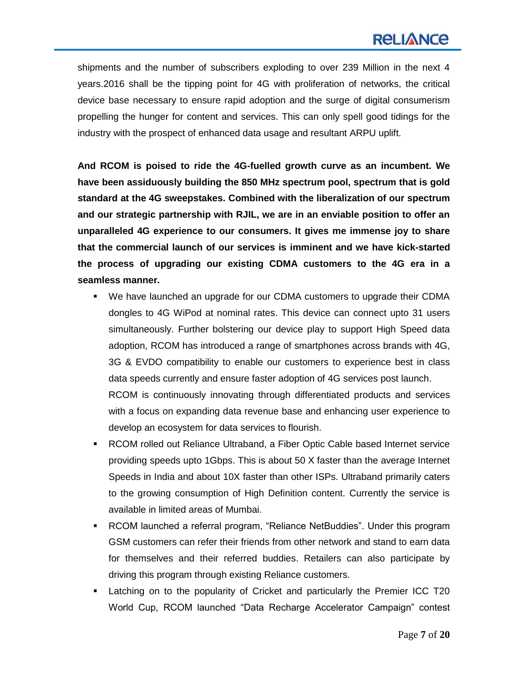# **RELIANCE**

shipments and the number of subscribers exploding to over 239 Million in the next 4 years.2016 shall be the tipping point for 4G with proliferation of networks, the critical device base necessary to ensure rapid adoption and the surge of digital consumerism propelling the hunger for content and services. This can only spell good tidings for the industry with the prospect of enhanced data usage and resultant ARPU uplift.

**And RCOM is poised to ride the 4G-fuelled growth curve as an incumbent. We have been assiduously building the 850 MHz spectrum pool, spectrum that is gold standard at the 4G sweepstakes. Combined with the liberalization of our spectrum and our strategic partnership with RJIL, we are in an enviable position to offer an unparalleled 4G experience to our consumers. It gives me immense joy to share that the commercial launch of our services is imminent and we have kick-started the process of upgrading our existing CDMA customers to the 4G era in a seamless manner.**

- We have launched an upgrade for our CDMA customers to upgrade their CDMA dongles to 4G WiPod at nominal rates. This device can connect upto 31 users simultaneously. Further bolstering our device play to support High Speed data adoption, RCOM has introduced a range of smartphones across brands with 4G, 3G & EVDO compatibility to enable our customers to experience best in class data speeds currently and ensure faster adoption of 4G services post launch. RCOM is continuously innovating through differentiated products and services with a focus on expanding data revenue base and enhancing user experience to develop an ecosystem for data services to flourish.
- RCOM rolled out Reliance Ultraband, a Fiber Optic Cable based Internet service providing speeds upto 1Gbps. This is about 50 X faster than the average Internet Speeds in India and about 10X faster than other ISPs. Ultraband primarily caters to the growing consumption of High Definition content. Currently the service is available in limited areas of Mumbai.
- RCOM launched a referral program, "Reliance NetBuddies". Under this program GSM customers can refer their friends from other network and stand to earn data for themselves and their referred buddies. Retailers can also participate by driving this program through existing Reliance customers.
- Latching on to the popularity of Cricket and particularly the Premier ICC T20 World Cup, RCOM launched "Data Recharge Accelerator Campaign" contest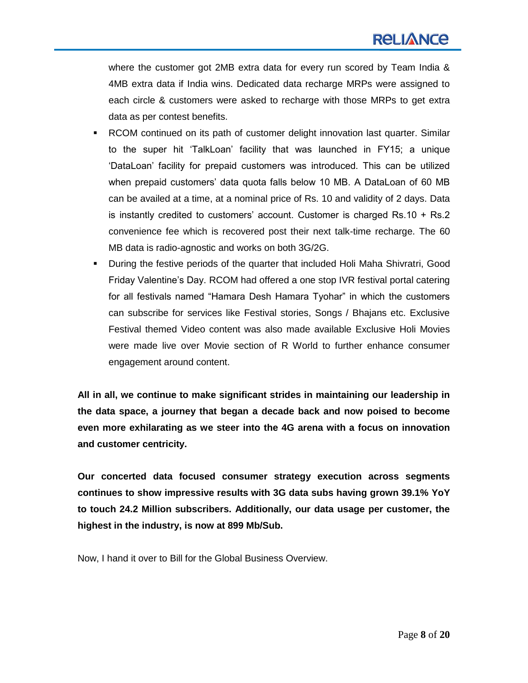where the customer got 2MB extra data for every run scored by Team India & 4MB extra data if India wins. Dedicated data recharge MRPs were assigned to each circle & customers were asked to recharge with those MRPs to get extra data as per contest benefits.

- RCOM continued on its path of customer delight innovation last quarter. Similar to the super hit "TalkLoan" facility that was launched in FY15; a unique "DataLoan" facility for prepaid customers was introduced. This can be utilized when prepaid customers" data quota falls below 10 MB. A DataLoan of 60 MB can be availed at a time, at a nominal price of Rs. 10 and validity of 2 days. Data is instantly credited to customers" account. Customer is charged Rs.10 + Rs.2 convenience fee which is recovered post their next talk-time recharge. The 60 MB data is radio-agnostic and works on both 3G/2G.
- During the festive periods of the quarter that included Holi Maha Shivratri, Good Friday Valentine"s Day. RCOM had offered a one stop IVR festival portal catering for all festivals named "Hamara Desh Hamara Tyohar" in which the customers can subscribe for services like Festival stories, Songs / Bhajans etc. Exclusive Festival themed Video content was also made available Exclusive Holi Movies were made live over Movie section of R World to further enhance consumer engagement around content.

**All in all, we continue to make significant strides in maintaining our leadership in the data space, a journey that began a decade back and now poised to become even more exhilarating as we steer into the 4G arena with a focus on innovation and customer centricity.**

**Our concerted data focused consumer strategy execution across segments continues to show impressive results with 3G data subs having grown 39.1% YoY to touch 24.2 Million subscribers. Additionally, our data usage per customer, the highest in the industry, is now at 899 Mb/Sub.**

Now, I hand it over to Bill for the Global Business Overview.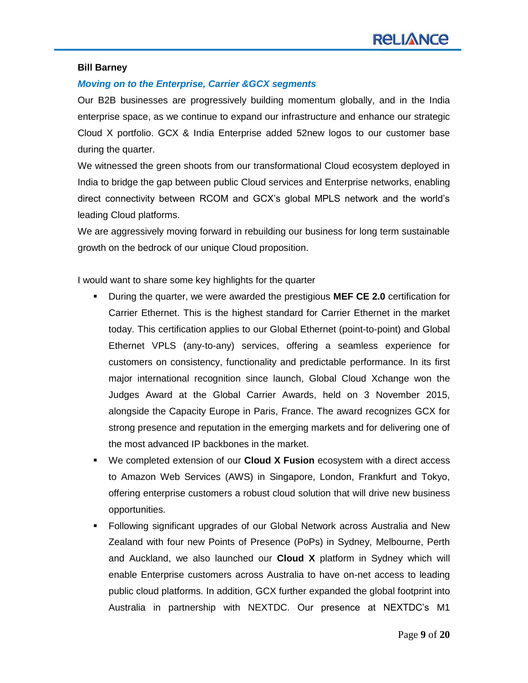#### **Bill Barney**

# *Moving on to the Enterprise, Carrier &GCX segments*

Our B2B businesses are progressively building momentum globally, and in the India enterprise space, as we continue to expand our infrastructure and enhance our strategic Cloud X portfolio. GCX & India Enterprise added 52new logos to our customer base during the quarter.

We witnessed the green shoots from our transformational Cloud ecosystem deployed in India to bridge the gap between public Cloud services and Enterprise networks, enabling direct connectivity between RCOM and GCX"s global MPLS network and the world"s leading Cloud platforms.

We are aggressively moving forward in rebuilding our business for long term sustainable growth on the bedrock of our unique Cloud proposition.

I would want to share some key highlights for the quarter

- During the quarter, we were awarded the prestigious **MEF CE 2.0** certification for Carrier Ethernet. This is the highest standard for Carrier Ethernet in the market today. This certification applies to our Global Ethernet (point-to-point) and Global Ethernet VPLS (any-to-any) services, offering a seamless experience for customers on consistency, functionality and predictable performance. In its first major international recognition since launch, Global Cloud Xchange won the Judges Award at the Global Carrier Awards, held on 3 November 2015, alongside the Capacity Europe in Paris, France. The award recognizes GCX for strong presence and reputation in the emerging markets and for delivering one of the most advanced IP backbones in the market.
- We completed extension of our **Cloud X Fusion** ecosystem with a direct access to Amazon Web Services (AWS) in Singapore, London, Frankfurt and Tokyo, offering enterprise customers a robust cloud solution that will drive new business opportunities.
- Following significant upgrades of our Global Network across Australia and New Zealand with four new Points of Presence (PoPs) in Sydney, Melbourne, Perth and Auckland, we also launched our **Cloud X** platform in Sydney which will enable Enterprise customers across Australia to have on-net access to leading public cloud platforms. In addition, GCX further expanded the global footprint into Australia in partnership with NEXTDC. Our presence at NEXTDC"s M1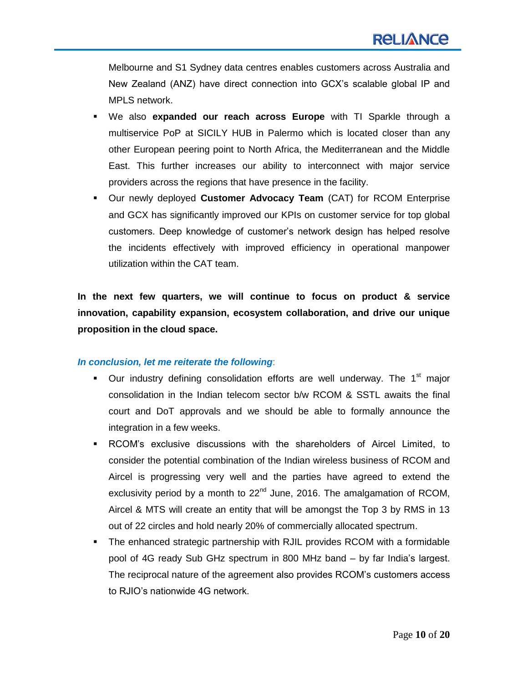Melbourne and S1 Sydney data centres enables customers across Australia and New Zealand (ANZ) have direct connection into GCX"s scalable global IP and MPLS network.

- We also **expanded our reach across Europe** with TI Sparkle through a multiservice PoP at SICILY HUB in Palermo which is located closer than any other European peering point to North Africa, the Mediterranean and the Middle East. This further increases our ability to interconnect with major service providers across the regions that have presence in the facility.
- Our newly deployed **Customer Advocacy Team** (CAT) for RCOM Enterprise and GCX has significantly improved our KPIs on customer service for top global customers. Deep knowledge of customer"s network design has helped resolve the incidents effectively with improved efficiency in operational manpower utilization within the CAT team.

**In the next few quarters, we will continue to focus on product & service innovation, capability expansion, ecosystem collaboration, and drive our unique proposition in the cloud space.** 

# *In conclusion, let me reiterate the following*:

- **Our industry defining consolidation efforts are well underway. The 1<sup>st</sup> major** consolidation in the Indian telecom sector b/w RCOM & SSTL awaits the final court and DoT approvals and we should be able to formally announce the integration in a few weeks.
- RCOM"s exclusive discussions with the shareholders of Aircel Limited, to consider the potential combination of the Indian wireless business of RCOM and Aircel is progressing very well and the parties have agreed to extend the exclusivity period by a month to  $22^{nd}$  June, 2016. The amalgamation of RCOM, Aircel & MTS will create an entity that will be amongst the Top 3 by RMS in 13 out of 22 circles and hold nearly 20% of commercially allocated spectrum.
- The enhanced strategic partnership with RJIL provides RCOM with a formidable pool of 4G ready Sub GHz spectrum in 800 MHz band – by far India"s largest. The reciprocal nature of the agreement also provides RCOM"s customers access to RJIO"s nationwide 4G network.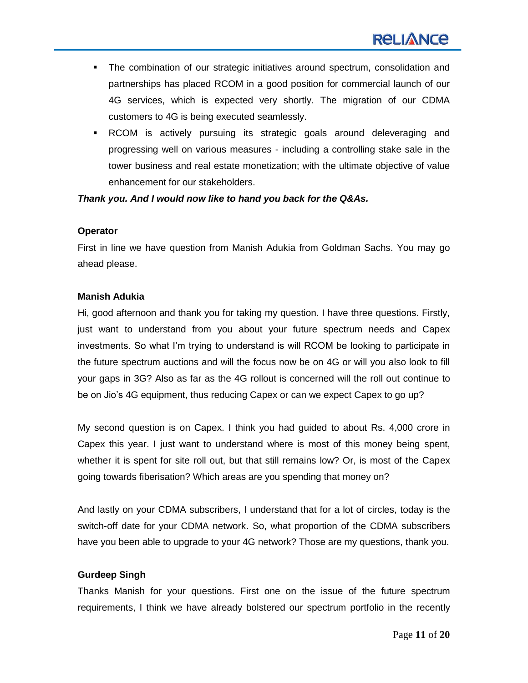- The combination of our strategic initiatives around spectrum, consolidation and partnerships has placed RCOM in a good position for commercial launch of our 4G services, which is expected very shortly. The migration of our CDMA customers to 4G is being executed seamlessly.
- RCOM is actively pursuing its strategic goals around deleveraging and progressing well on various measures - including a controlling stake sale in the tower business and real estate monetization; with the ultimate objective of value enhancement for our stakeholders.

*Thank you. And I would now like to hand you back for the Q&As.*

## **Operator**

First in line we have question from Manish Adukia from Goldman Sachs. You may go ahead please.

## **Manish Adukia**

Hi, good afternoon and thank you for taking my question. I have three questions. Firstly, just want to understand from you about your future spectrum needs and Capex investments. So what I"m trying to understand is will RCOM be looking to participate in the future spectrum auctions and will the focus now be on 4G or will you also look to fill your gaps in 3G? Also as far as the 4G rollout is concerned will the roll out continue to be on Jio"s 4G equipment, thus reducing Capex or can we expect Capex to go up?

My second question is on Capex. I think you had guided to about Rs. 4,000 crore in Capex this year. I just want to understand where is most of this money being spent, whether it is spent for site roll out, but that still remains low? Or, is most of the Capex going towards fiberisation? Which areas are you spending that money on?

And lastly on your CDMA subscribers, I understand that for a lot of circles, today is the switch-off date for your CDMA network. So, what proportion of the CDMA subscribers have you been able to upgrade to your 4G network? Those are my questions, thank you.

# **Gurdeep Singh**

Thanks Manish for your questions. First one on the issue of the future spectrum requirements, I think we have already bolstered our spectrum portfolio in the recently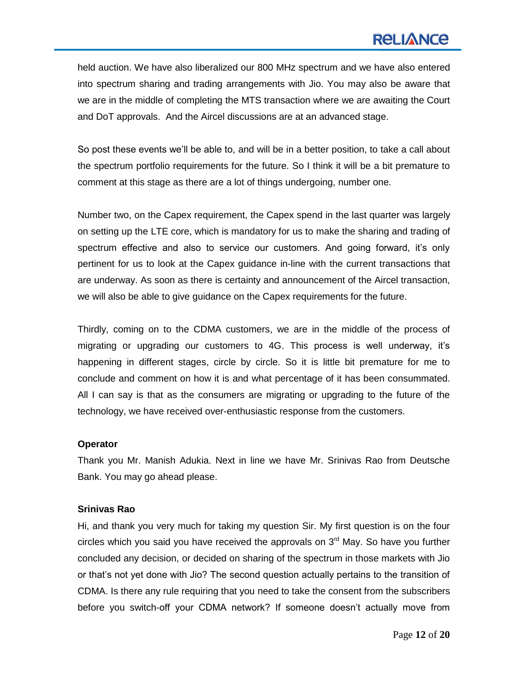# **RELIANCE**

held auction. We have also liberalized our 800 MHz spectrum and we have also entered into spectrum sharing and trading arrangements with Jio. You may also be aware that we are in the middle of completing the MTS transaction where we are awaiting the Court and DoT approvals. And the Aircel discussions are at an advanced stage.

So post these events we"ll be able to, and will be in a better position, to take a call about the spectrum portfolio requirements for the future. So I think it will be a bit premature to comment at this stage as there are a lot of things undergoing, number one.

Number two, on the Capex requirement, the Capex spend in the last quarter was largely on setting up the LTE core, which is mandatory for us to make the sharing and trading of spectrum effective and also to service our customers. And going forward, it's only pertinent for us to look at the Capex guidance in-line with the current transactions that are underway. As soon as there is certainty and announcement of the Aircel transaction, we will also be able to give guidance on the Capex requirements for the future.

Thirdly, coming on to the CDMA customers, we are in the middle of the process of migrating or upgrading our customers to 4G. This process is well underway, it"s happening in different stages, circle by circle. So it is little bit premature for me to conclude and comment on how it is and what percentage of it has been consummated. All I can say is that as the consumers are migrating or upgrading to the future of the technology, we have received over-enthusiastic response from the customers.

#### **Operator**

Thank you Mr. Manish Adukia. Next in line we have Mr. Srinivas Rao from Deutsche Bank. You may go ahead please.

#### **Srinivas Rao**

Hi, and thank you very much for taking my question Sir. My first question is on the four circles which you said you have received the approvals on  $3<sup>rd</sup>$  May. So have you further concluded any decision, or decided on sharing of the spectrum in those markets with Jio or that"s not yet done with Jio? The second question actually pertains to the transition of CDMA. Is there any rule requiring that you need to take the consent from the subscribers before you switch-off your CDMA network? If someone doesn"t actually move from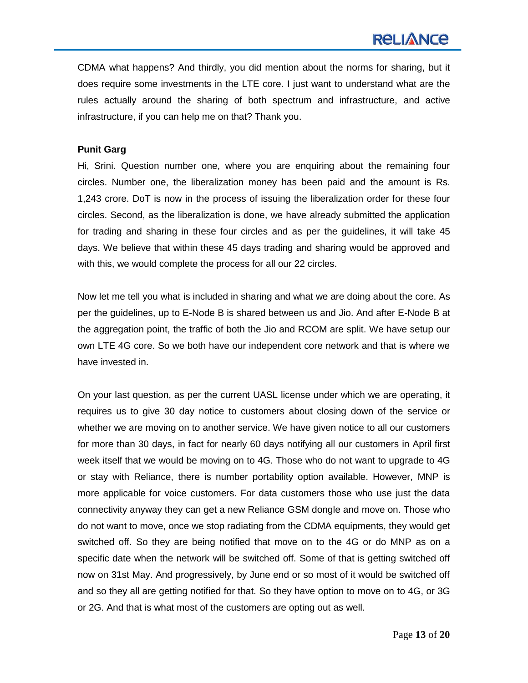CDMA what happens? And thirdly, you did mention about the norms for sharing, but it does require some investments in the LTE core. I just want to understand what are the rules actually around the sharing of both spectrum and infrastructure, and active infrastructure, if you can help me on that? Thank you.

#### **Punit Garg**

Hi, Srini. Question number one, where you are enquiring about the remaining four circles. Number one, the liberalization money has been paid and the amount is Rs. 1,243 crore. DoT is now in the process of issuing the liberalization order for these four circles. Second, as the liberalization is done, we have already submitted the application for trading and sharing in these four circles and as per the guidelines, it will take 45 days. We believe that within these 45 days trading and sharing would be approved and with this, we would complete the process for all our 22 circles.

Now let me tell you what is included in sharing and what we are doing about the core. As per the guidelines, up to E-Node B is shared between us and Jio. And after E-Node B at the aggregation point, the traffic of both the Jio and RCOM are split. We have setup our own LTE 4G core. So we both have our independent core network and that is where we have invested in.

On your last question, as per the current UASL license under which we are operating, it requires us to give 30 day notice to customers about closing down of the service or whether we are moving on to another service. We have given notice to all our customers for more than 30 days, in fact for nearly 60 days notifying all our customers in April first week itself that we would be moving on to 4G. Those who do not want to upgrade to 4G or stay with Reliance, there is number portability option available. However, MNP is more applicable for voice customers. For data customers those who use just the data connectivity anyway they can get a new Reliance GSM dongle and move on. Those who do not want to move, once we stop radiating from the CDMA equipments, they would get switched off. So they are being notified that move on to the 4G or do MNP as on a specific date when the network will be switched off. Some of that is getting switched off now on 31st May. And progressively, by June end or so most of it would be switched off and so they all are getting notified for that. So they have option to move on to 4G, or 3G or 2G. And that is what most of the customers are opting out as well.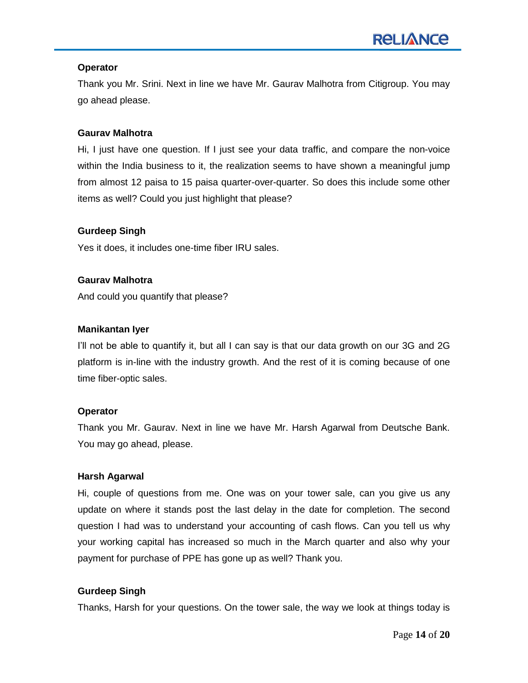# **Operator**

Thank you Mr. Srini. Next in line we have Mr. Gaurav Malhotra from Citigroup. You may go ahead please.

# **Gaurav Malhotra**

Hi, I just have one question. If I just see your data traffic, and compare the non-voice within the India business to it, the realization seems to have shown a meaningful jump from almost 12 paisa to 15 paisa quarter-over-quarter. So does this include some other items as well? Could you just highlight that please?

# **Gurdeep Singh**

Yes it does, it includes one-time fiber IRU sales.

## **Gaurav Malhotra**

And could you quantify that please?

## **Manikantan Iyer**

I"ll not be able to quantify it, but all I can say is that our data growth on our 3G and 2G platform is in-line with the industry growth. And the rest of it is coming because of one time fiber-optic sales.

#### **Operator**

Thank you Mr. Gaurav. Next in line we have Mr. Harsh Agarwal from Deutsche Bank. You may go ahead, please.

#### **Harsh Agarwal**

Hi, couple of questions from me. One was on your tower sale, can you give us any update on where it stands post the last delay in the date for completion. The second question I had was to understand your accounting of cash flows. Can you tell us why your working capital has increased so much in the March quarter and also why your payment for purchase of PPE has gone up as well? Thank you.

# **Gurdeep Singh**

Thanks, Harsh for your questions. On the tower sale, the way we look at things today is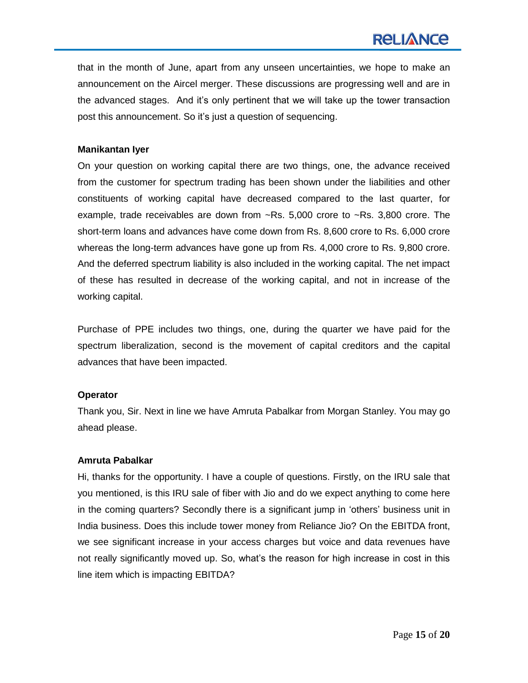that in the month of June, apart from any unseen uncertainties, we hope to make an announcement on the Aircel merger. These discussions are progressing well and are in the advanced stages. And it"s only pertinent that we will take up the tower transaction post this announcement. So it"s just a question of sequencing.

## **Manikantan Iyer**

On your question on working capital there are two things, one, the advance received from the customer for spectrum trading has been shown under the liabilities and other constituents of working capital have decreased compared to the last quarter, for example, trade receivables are down from ~Rs. 5,000 crore to ~Rs. 3,800 crore. The short-term loans and advances have come down from Rs. 8,600 crore to Rs. 6,000 crore whereas the long-term advances have gone up from Rs. 4,000 crore to Rs. 9,800 crore. And the deferred spectrum liability is also included in the working capital. The net impact of these has resulted in decrease of the working capital, and not in increase of the working capital.

Purchase of PPE includes two things, one, during the quarter we have paid for the spectrum liberalization, second is the movement of capital creditors and the capital advances that have been impacted.

#### **Operator**

Thank you, Sir. Next in line we have Amruta Pabalkar from Morgan Stanley. You may go ahead please.

# **Amruta Pabalkar**

Hi, thanks for the opportunity. I have a couple of questions. Firstly, on the IRU sale that you mentioned, is this IRU sale of fiber with Jio and do we expect anything to come here in the coming quarters? Secondly there is a significant jump in "others" business unit in India business. Does this include tower money from Reliance Jio? On the EBITDA front, we see significant increase in your access charges but voice and data revenues have not really significantly moved up. So, what"s the reason for high increase in cost in this line item which is impacting EBITDA?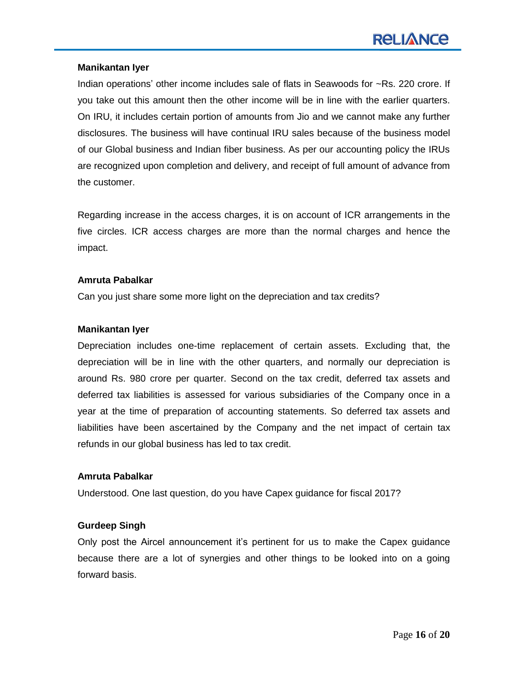## **Manikantan Iyer**

Indian operations' other income includes sale of flats in Seawoods for ~Rs. 220 crore. If you take out this amount then the other income will be in line with the earlier quarters. On IRU, it includes certain portion of amounts from Jio and we cannot make any further disclosures. The business will have continual IRU sales because of the business model of our Global business and Indian fiber business. As per our accounting policy the IRUs are recognized upon completion and delivery, and receipt of full amount of advance from the customer.

Regarding increase in the access charges, it is on account of ICR arrangements in the five circles. ICR access charges are more than the normal charges and hence the impact.

## **Amruta Pabalkar**

Can you just share some more light on the depreciation and tax credits?

## **Manikantan Iyer**

Depreciation includes one-time replacement of certain assets. Excluding that, the depreciation will be in line with the other quarters, and normally our depreciation is around Rs. 980 crore per quarter. Second on the tax credit, deferred tax assets and deferred tax liabilities is assessed for various subsidiaries of the Company once in a year at the time of preparation of accounting statements. So deferred tax assets and liabilities have been ascertained by the Company and the net impact of certain tax refunds in our global business has led to tax credit.

# **Amruta Pabalkar**

Understood. One last question, do you have Capex guidance for fiscal 2017?

# **Gurdeep Singh**

Only post the Aircel announcement it"s pertinent for us to make the Capex guidance because there are a lot of synergies and other things to be looked into on a going forward basis.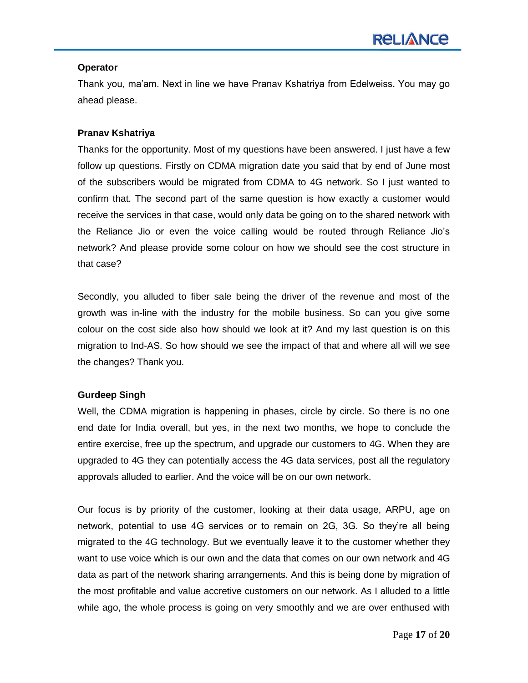## **Operator**

Thank you, ma"am. Next in line we have Pranav Kshatriya from Edelweiss. You may go ahead please.

# **Pranav Kshatriya**

Thanks for the opportunity. Most of my questions have been answered. I just have a few follow up questions. Firstly on CDMA migration date you said that by end of June most of the subscribers would be migrated from CDMA to 4G network. So I just wanted to confirm that. The second part of the same question is how exactly a customer would receive the services in that case, would only data be going on to the shared network with the Reliance Jio or even the voice calling would be routed through Reliance Jio"s network? And please provide some colour on how we should see the cost structure in that case?

Secondly, you alluded to fiber sale being the driver of the revenue and most of the growth was in-line with the industry for the mobile business. So can you give some colour on the cost side also how should we look at it? And my last question is on this migration to Ind-AS. So how should we see the impact of that and where all will we see the changes? Thank you.

# **Gurdeep Singh**

Well, the CDMA migration is happening in phases, circle by circle. So there is no one end date for India overall, but yes, in the next two months, we hope to conclude the entire exercise, free up the spectrum, and upgrade our customers to 4G. When they are upgraded to 4G they can potentially access the 4G data services, post all the regulatory approvals alluded to earlier. And the voice will be on our own network.

Our focus is by priority of the customer, looking at their data usage, ARPU, age on network, potential to use 4G services or to remain on 2G, 3G. So they"re all being migrated to the 4G technology. But we eventually leave it to the customer whether they want to use voice which is our own and the data that comes on our own network and 4G data as part of the network sharing arrangements. And this is being done by migration of the most profitable and value accretive customers on our network. As I alluded to a little while ago, the whole process is going on very smoothly and we are over enthused with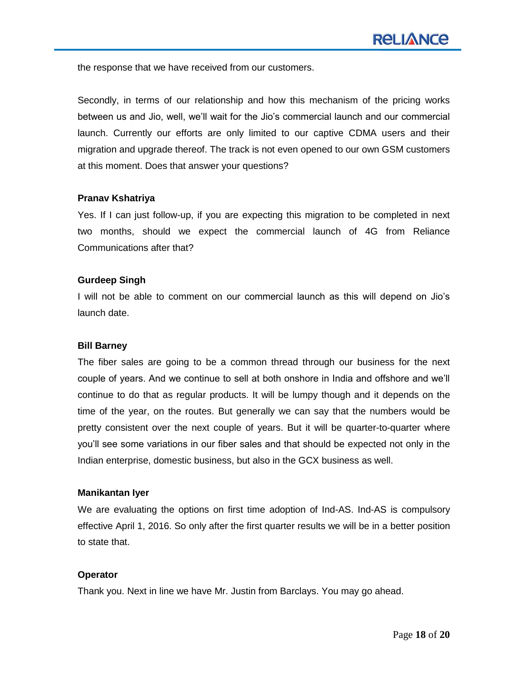the response that we have received from our customers.

Secondly, in terms of our relationship and how this mechanism of the pricing works between us and Jio, well, we"ll wait for the Jio"s commercial launch and our commercial launch. Currently our efforts are only limited to our captive CDMA users and their migration and upgrade thereof. The track is not even opened to our own GSM customers at this moment. Does that answer your questions?

## **Pranav Kshatriya**

Yes. If I can just follow-up, if you are expecting this migration to be completed in next two months, should we expect the commercial launch of 4G from Reliance Communications after that?

## **Gurdeep Singh**

I will not be able to comment on our commercial launch as this will depend on Jio"s launch date.

# **Bill Barney**

The fiber sales are going to be a common thread through our business for the next couple of years. And we continue to sell at both onshore in India and offshore and we"ll continue to do that as regular products. It will be lumpy though and it depends on the time of the year, on the routes. But generally we can say that the numbers would be pretty consistent over the next couple of years. But it will be quarter-to-quarter where you"ll see some variations in our fiber sales and that should be expected not only in the Indian enterprise, domestic business, but also in the GCX business as well.

#### **Manikantan Iyer**

We are evaluating the options on first time adoption of Ind-AS. Ind-AS is compulsory effective April 1, 2016. So only after the first quarter results we will be in a better position to state that.

# **Operator**

Thank you. Next in line we have Mr. Justin from Barclays. You may go ahead.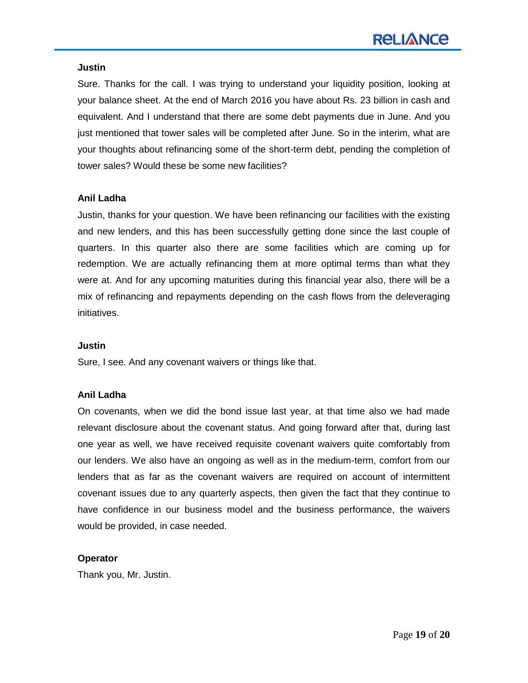#### **Justin**

Sure. Thanks for the call. I was trying to understand your liquidity position, looking at your balance sheet. At the end of March 2016 you have about Rs. 23 billion in cash and equivalent. And I understand that there are some debt payments due in June. And you just mentioned that tower sales will be completed after June. So in the interim, what are your thoughts about refinancing some of the short-term debt, pending the completion of tower sales? Would these be some new facilities?

# **Anil Ladha**

Justin, thanks for your question. We have been refinancing our facilities with the existing and new lenders, and this has been successfully getting done since the last couple of quarters. In this quarter also there are some facilities which are coming up for redemption. We are actually refinancing them at more optimal terms than what they were at. And for any upcoming maturities during this financial year also, there will be a mix of refinancing and repayments depending on the cash flows from the deleveraging initiatives.

# **Justin**

Sure, I see. And any covenant waivers or things like that.

# **Anil Ladha**

On covenants, when we did the bond issue last year, at that time also we had made relevant disclosure about the covenant status. And going forward after that, during last one year as well, we have received requisite covenant waivers quite comfortably from our lenders. We also have an ongoing as well as in the medium-term, comfort from our lenders that as far as the covenant waivers are required on account of intermittent covenant issues due to any quarterly aspects, then given the fact that they continue to have confidence in our business model and the business performance, the waivers would be provided, in case needed.

# **Operator**

Thank you, Mr. Justin.